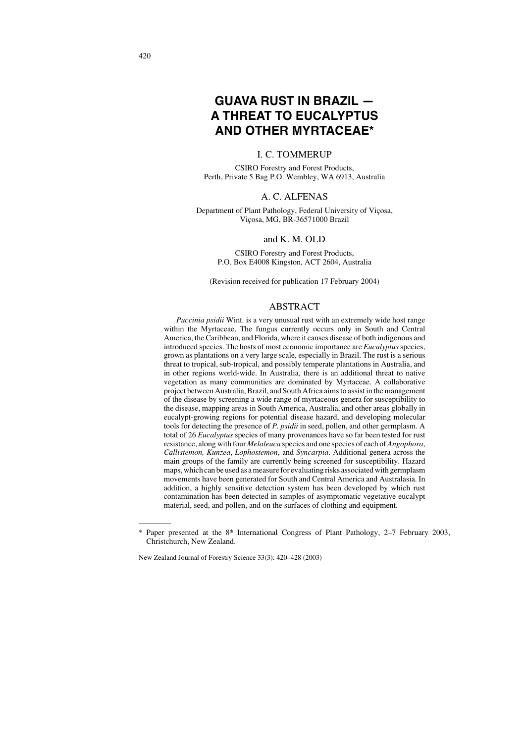# **GUAVA RUST IN BRAZIL — A THREAT TO** *EUCALYPTUS* **AND OTHER MYRTACEAE\***

## I. C. TOMMERUP

CSIRO Forestry and Forest Products, Perth, Private 5 Bag P.O. Wembley, WA 6913, Australia

## A. C. ALFENAS

Department of Plant Pathology, Federal University of Viçosa, Viçosa, MG, BR-36571000 Brazil

#### and K. M. OLD

CSIRO Forestry and Forest Products, P.O. Box E4008 Kingston, ACT 2604, Australia

(Revision received for publication 17 February 2004)

## ABSTRACT

*Puccinia psidii* Wint. is a very unusual rust with an extremely wide host range within the Myrtaceae. The fungus currently occurs only in South and Central America, the Caribbean, and Florida, where it causes disease of both indigenous and introduced species. The hosts of most economic importance are *Eucalyptus* species, grown as plantations on a very large scale, especially in Brazil. The rust is a serious threat to tropical, sub-tropical, and possibly temperate plantations in Australia, and in other regions world-wide. In Australia, there is an additional threat to native vegetation as many communities are dominated by Myrtaceae. A collaborative project between Australia, Brazil, and South Africa aims to assist in the management of the disease by screening a wide range of myrtaceous genera for susceptibility to the disease, mapping areas in South America, Australia, and other areas globally in eucalypt-growing regions for potential disease hazard, and developing molecular tools for detecting the presence of *P. psidii* in seed, pollen, and other germplasm. A total of 26 *Eucalyptus* species of many provenances have so far been tested for rust resistance, along with four *Melaleuca* species and one species of each of *Angophora*, *Callistemon, Kunzea*, *Lophostemon*, and *Syncarpia*. Additional genera across the main groups of the family are currently being screened for susceptibility. Hazard maps, which can be used as a measure for evaluating risks associated with germplasm movements have been generated for South and Central America and Australasia. In addition, a highly sensitive detection system has been developed by which rust contamination has been detected in samples of asymptomatic vegetative eucalypt material, seed, and pollen, and on the surfaces of clothing and equipment.

<sup>\*</sup> Paper presented at the 8<sup>th</sup> International Congress of Plant Pathology, 2-7 February 2003, Christchurch, New Zealand.

New Zealand Journal of Forestry Science 33(3): 420–428 (2003)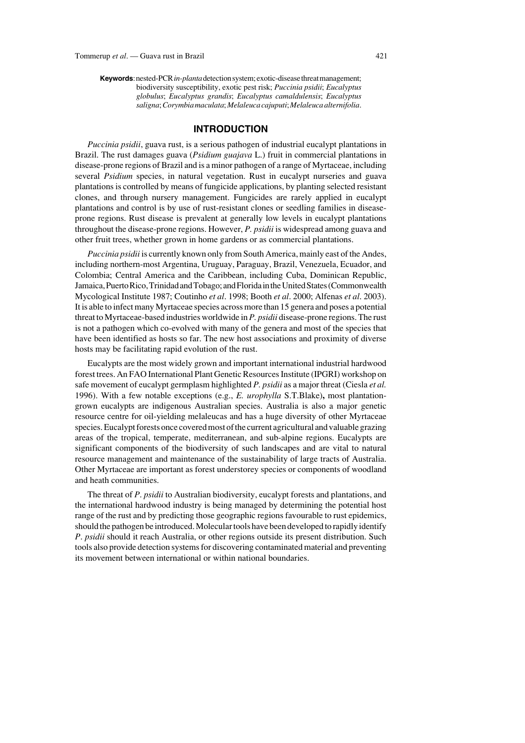**Keywords**: nested-PCR *in-planta* detection system; exotic-disease threat management; biodiversity susceptibility, exotic pest risk; *Puccinia psidii*; *Eucalyptus globulus*; *Eucalyptus grandis*; *Eucalyptus camaldulensis*; *Eucalyptus saligna*; *Corymbia maculata*; *Melaleucacajuputi*; *Melaleuca alternifolia*.

## **INTRODUCTION**

*Puccinia psidii*, guava rust, is a serious pathogen of industrial eucalypt plantations in Brazil. The rust damages guava (*Psidium guajava* L.) fruit in commercial plantations in disease-prone regions of Brazil and is a minor pathogen of a range of Myrtaceae, including several *Psidium* species, in natural vegetation. Rust in eucalypt nurseries and guava plantations is controlled by means of fungicide applications, by planting selected resistant clones, and through nursery management. Fungicides are rarely applied in eucalypt plantations and control is by use of rust-resistant clones or seedling families in diseaseprone regions. Rust disease is prevalent at generally low levels in eucalypt plantations throughout the disease-prone regions. However, *P. psidii* is widespread among guava and other fruit trees, whether grown in home gardens or as commercial plantations.

*Puccinia psidii* is currently known only from South America, mainly east of the Andes, including northern-most Argentina, Uruguay, Paraguay, Brazil, Venezuela, Ecuador, and Colombia; Central America and the Caribbean, including Cuba, Dominican Republic, Jamaica, Puerto Rico, Trinidad and Tobago; and Florida in the United States (Commonwealth Mycological Institute 1987; Coutinho *et al*. 1998; Booth *et al*. 2000; Alfenas *et al*. 2003). It is able to infect many Myrtaceae species across more than 15 genera and poses a potential threat to Myrtaceae-based industries worldwide in *P. psidii* disease-prone regions. The rust is not a pathogen which co-evolved with many of the genera and most of the species that have been identified as hosts so far. The new host associations and proximity of diverse hosts may be facilitating rapid evolution of the rust.

Eucalypts are the most widely grown and important international industrial hardwood forest trees. An FAO International Plant Genetic Resources Institute (IPGRI) workshop on safe movement of eucalypt germplasm highlighted *P. psidii* as a major threat (Ciesla *et al.* 1996). With a few notable exceptions (e.g., *E. urophylla* S.T.Blake)**,** most plantationgrown eucalypts are indigenous Australian species. Australia is also a major genetic resource centre for oil-yielding melaleucas and has a huge diversity of other Myrtaceae species. Eucalypt forests once covered most of the current agricultural and valuable grazing areas of the tropical, temperate, mediterranean, and sub-alpine regions. Eucalypts are significant components of the biodiversity of such landscapes and are vital to natural resource management and maintenance of the sustainability of large tracts of Australia. Other Myrtaceae are important as forest understorey species or components of woodland and heath communities.

The threat of *P*. *psidii* to Australian biodiversity, eucalypt forests and plantations, and the international hardwood industry is being managed by determining the potential host range of the rust and by predicting those geographic regions favourable to rust epidemics, should the pathogen be introduced. Molecular tools have been developed to rapidly identify *P*. *psidii* should it reach Australia, or other regions outside its present distribution. Such tools also provide detection systems for discovering contaminated material and preventing its movement between international or within national boundaries.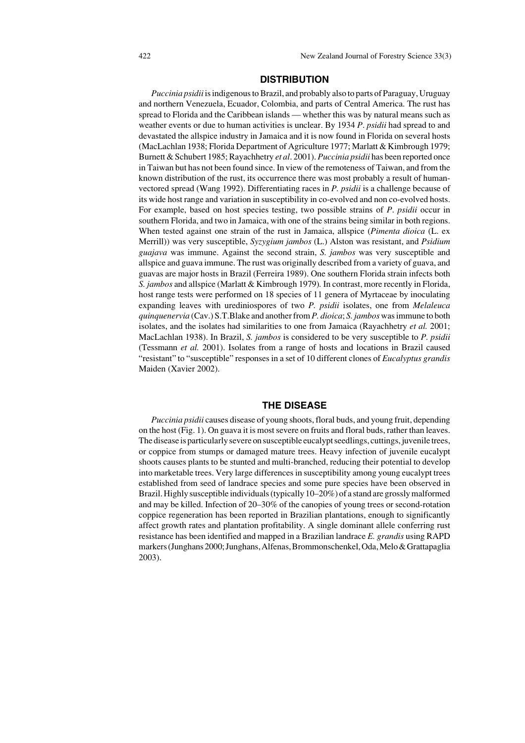#### **DISTRIBUTION**

*Puccinia psidii* is indigenous to Brazil, and probably also to parts of Paraguay, Uruguay and northern Venezuela, Ecuador, Colombia, and parts of Central America. The rust has spread to Florida and the Caribbean islands — whether this was by natural means such as weather events or due to human activities is unclear. By 1934 *P*. *psidii* had spread to and devastated the allspice industry in Jamaica and it is now found in Florida on several hosts (MacLachlan 1938; Florida Department of Agriculture 1977; Marlatt & Kimbrough 1979; Burnett & Schubert 1985; Rayachhetry *et al*. 2001). *Puccinia psidii* has been reported once in Taiwan but has not been found since. In view of the remoteness of Taiwan, and from the known distribution of the rust, its occurrence there was most probably a result of humanvectored spread (Wang 1992). Differentiating races in *P. psidii* is a challenge because of its wide host range and variation in susceptibility in co-evolved and non co-evolved hosts. For example, based on host species testing, two possible strains of *P*. *psidii* occur in southern Florida, and two in Jamaica, with one of the strains being similar in both regions. When tested against one strain of the rust in Jamaica, allspice (*Pimenta dioica* (L. ex Merrill)) was very susceptible, *Syzygium jambos* (L.) Alston was resistant, and *Psidium guajava* was immune. Against the second strain, *S. jambos* was very susceptible and allspice and guava immune. The rust was originally described from a variety of guava, and guavas are major hosts in Brazil (Ferreira 1989). One southern Florida strain infects both *S. jambos* and allspice (Marlatt & Kimbrough 1979)*.* In contrast, more recently in Florida, host range tests were performed on 18 species of 11 genera of Myrtaceae by inoculating expanding leaves with urediniospores of two *P. psidii* isolates, one from *Melaleuca quinquenervia* (Cav.) S.T.Blake and another from *P. dioica*; *S. jambos* was immune to both isolates, and the isolates had similarities to one from Jamaica (Rayachhetry *et al.* 2001; MacLachlan 1938). In Brazil, *S. jambos* is considered to be very susceptible to *P. psidii* (Tessmann *et al.* 2001). Isolates from a range of hosts and locations in Brazil caused "resistant" to "susceptible" responses in a set of 10 different clones of *Eucalyptus grandis* Maiden (Xavier 2002).

#### **THE DISEASE**

*Puccinia psidii* causes disease of young shoots, floral buds, and young fruit, depending on the host (Fig. 1). On guava it is most severe on fruits and floral buds, rather than leaves. The disease is particularly severe on susceptible eucalypt seedlings, cuttings, juvenile trees, or coppice from stumps or damaged mature trees. Heavy infection of juvenile eucalypt shoots causes plants to be stunted and multi-branched, reducing their potential to develop into marketable trees. Very large differences in susceptibility among young eucalypt trees established from seed of landrace species and some pure species have been observed in Brazil. Highly susceptible individuals (typically 10–20%) of a stand are grossly malformed and may be killed. Infection of 20–30% of the canopies of young trees or second-rotation coppice regeneration has been reported in Brazilian plantations, enough to significantly affect growth rates and plantation profitability. A single dominant allele conferring rust resistance has been identified and mapped in a Brazilian landrace *E. grandis* using RAPD markers (Junghans 2000; Junghans, Alfenas, Brommonschenkel, Oda, Melo & Grattapaglia 2003).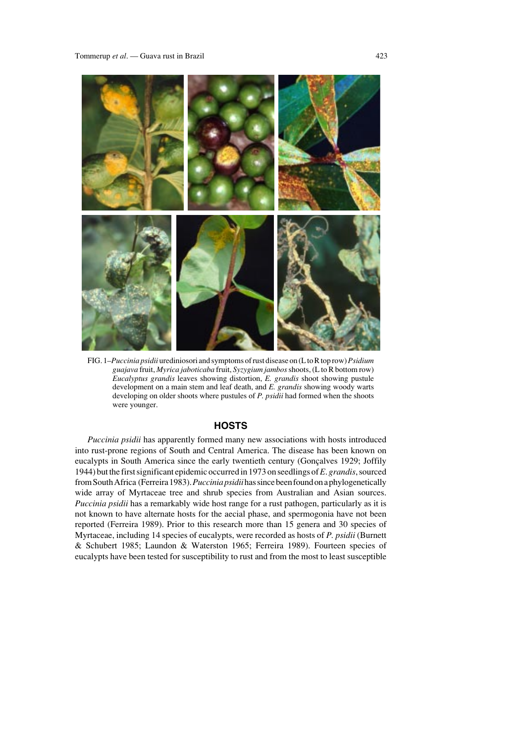

FIG. 1–*Puccinia psidii* urediniosori and symptoms of rust disease on (L to R top row) *Psidium guajava* fruit, *Myrica jaboticaba* fruit, *Syzygium jambos*shoots, (L to R bottom row) *Eucalyptus grandis* leaves showing distortion, *E. grandis* shoot showing pustule development on a main stem and leaf death, and *E. grandis* showing woody warts developing on older shoots where pustules of *P. psidii* had formed when the shoots were younger.

## **HOSTS**

*Puccinia psidii* has apparently formed many new associations with hosts introduced into rust-prone regions of South and Central America. The disease has been known on eucalypts in South America since the early twentieth century (Gonçalves 1929; Joffily 1944) but the first significant epidemic occurred in 1973 on seedlings of *E*. *grandis*, sourced from South Africa (Ferreira 1983).*Puccinia psidii* has since been found on a phylogenetically wide array of Myrtaceae tree and shrub species from Australian and Asian sources. *Puccinia psidii* has a remarkably wide host range for a rust pathogen, particularly as it is not known to have alternate hosts for the aecial phase, and spermogonia have not been reported (Ferreira 1989). Prior to this research more than 15 genera and 30 species of Myrtaceae, including 14 species of eucalypts, were recorded as hosts of *P. psidii* (Burnett & Schubert 1985; Laundon & Waterston 1965; Ferreira 1989). Fourteen species of eucalypts have been tested for susceptibility to rust and from the most to least susceptible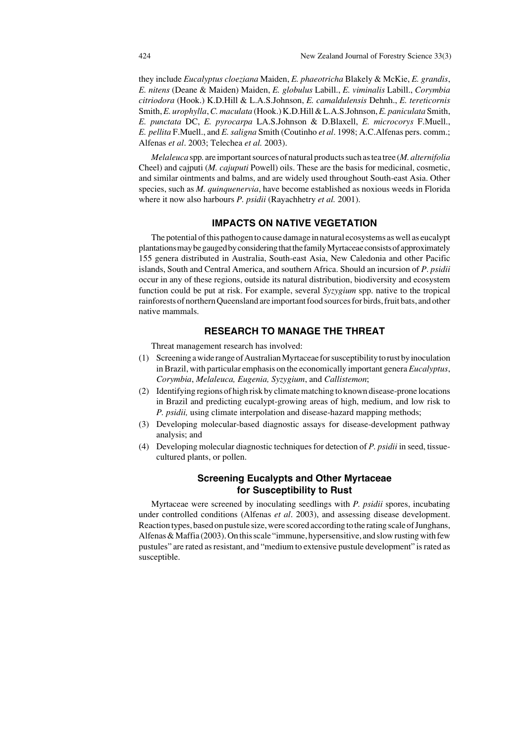they include *Eucalyptus cloeziana* Maiden, *E. phaeotricha* Blakely & McKie, *E. grandis*, *E. nitens* (Deane & Maiden) Maiden, *E. globulus* Labill., *E. viminalis* Labill., *Corymbia citriodora* (Hook.) K.D.Hill & L.A.S.Johnson, *E. camaldulensis* Dehnh., *E. tereticornis* Smith,*E. urophylla*,*C. maculata* (Hook.) K.D.Hill & L.A.S.Johnson,*E. paniculata* Smith, *E. punctata* DC, *E. pyrocarpa* LA.S.Johnson & D.Blaxell, *E. microcorys* F.Muell., *E. pellita* F.Muell., and *E. saligna* Smith (Coutinho *et al*. 1998; A.C.Alfenas pers. comm.; Alfenas *et al*. 2003; Telechea *et al.* 2003).

*Melaleuca* spp*.* are important sources of natural products such as tea tree (*M. alternifolia* Cheel) and cajputi (*M. cajuputi* Powell) oils. These are the basis for medicinal, cosmetic, and similar ointments and balms, and are widely used throughout South-east Asia. Other species, such as *M. quinquenervia*, have become established as noxious weeds in Florida where it now also harbours *P. psidii* (Rayachhetry *et al.* 2001).

## **IMPACTS ON NATIVE VEGETATION**

The potential of this pathogen to cause damage in natural ecosystems as well as eucalypt plantations may be gauged by considering that the family Myrtaceae consists of approximately 155 genera distributed in Australia, South-east Asia, New Caledonia and other Pacific islands, South and Central America, and southern Africa. Should an incursion of *P*. *psidii* occur in any of these regions, outside its natural distribution, biodiversity and ecosystem function could be put at risk. For example, several *Syzygium* spp. native to the tropical rainforests of northern Queensland are important food sources for birds, fruit bats, and other native mammals.

## **RESEARCH TO MANAGE THE THREAT**

Threat management research has involved:

- (1) Screening a wide range of Australian Myrtaceae for susceptibility to rust by inoculation in Brazil, with particular emphasis on the economically important genera *Eucalyptus*, *Corymbia*, *Melaleuca, Eugenia, Syzygium*, and *Callistemon*;
- (2) Identifying regions of high risk by climate matching to known disease-prone locations in Brazil and predicting eucalypt-growing areas of high, medium, and low risk to *P. psidii,* using climate interpolation and disease-hazard mapping methods;
- (3) Developing molecular-based diagnostic assays for disease-development pathway analysis; and
- (4) Developing molecular diagnostic techniques for detection of *P. psidii* in seed, tissuecultured plants, or pollen.

# **Screening Eucalypts and Other Myrtaceae for Susceptibility to Rust**

Myrtaceae were screened by inoculating seedlings with *P. psidii* spores, incubating under controlled conditions (Alfenas *et al*. 2003), and assessing disease development. Reaction types, based on pustule size, were scored according to the rating scale of Junghans, Alfenas & Maffia (2003). On this scale "immune, hypersensitive, and slow rusting with few pustules" are rated as resistant, and "medium to extensive pustule development" is rated as susceptible.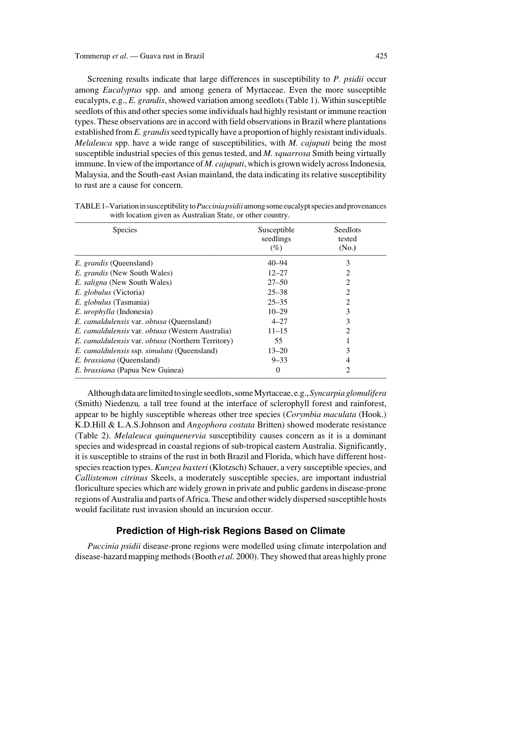Screening results indicate that large differences in susceptibility to *P. psidii* occur among *Eucalyptus* spp. and among genera of Myrtaceae. Even the more susceptible eucalypts, e.g., *E. grandis*, showed variation among seedlots (Table 1). Within susceptible seedlots of this and other species some individuals had highly resistant or immune reaction types. These observations are in accord with field observations in Brazil where plantations established from *E. grandis*seed typically have a proportion of highly resistant individuals. *Melaleuca* spp. have a wide range of susceptibilities, with *M. cajuputi* being the most susceptible industrial species of this genus tested, and *M. squarrosa* Smith being virtually immune. In view of the importance of *M. cajuputi*, which is grown widely across Indonesia, Malaysia, and the South-east Asian mainland, the data indicating its relative susceptibility to rust are a cause for concern.

| <b>Species</b>                                                  | Susceptible<br>seedlings<br>(%) | Seedlots<br>tested<br>(N <sub>0</sub> ) |
|-----------------------------------------------------------------|---------------------------------|-----------------------------------------|
| <i>E. grandis</i> (Queensland)                                  | $40 - 94$                       | 3                                       |
| <i>E. grandis</i> (New South Wales)                             | $12 - 27$                       |                                         |
| <i>E. saligna</i> (New South Wales)                             | $27 - 50$                       | $\mathcal{D}_{\mathcal{L}}$             |
| <i>E. globulus</i> (Victoria)                                   | $25 - 38$                       | 2                                       |
| E. globulus (Tasmania)                                          | $25 - 35$                       | $\mathcal{D}_{\mathcal{L}}$             |
| E. <i>urophylla</i> (Indonesia)                                 | $10 - 29$                       | 3                                       |
| <i>E. camaldulensis</i> var. <i>obtusa</i> (Queensland)         | $4 - 27$                        | 3                                       |
| E. camaldulensis var. obtusa (Western Australia)                | $11 - 15$                       |                                         |
| <i>E. camaldulensis</i> var. <i>obtusa</i> (Northern Territory) | 55                              |                                         |
| E. camaldulensis ssp. simulata (Queensland)                     | $13 - 20$                       |                                         |
| <i>E. brassiana</i> (Queensland)                                | $9 - 33$                        |                                         |
| <i>E. brassiana</i> (Papua New Guinea)                          | $\theta$                        | $\mathcal{D}_{\mathcal{L}}$             |

TABLE 1–Variation in susceptibility to *Puccinia psidii* among some eucalypt species and provenances with location given as Australian State, or other country.

Although data are limited to single seedlots, some Myrtaceae, e.g., *Syncarpia glomulifera* (Smith) Niedenzu*,* a tall tree found at the interface of sclerophyll forest and rainforest, appear to be highly susceptible whereas other tree species (*Corymbia maculata* (Hook.) K.D.Hill & L.A.S.Johnson and *Angophora costata* Britten) showed moderate resistance (Table 2). *Melaleuca quinquenervia* susceptibility causes concern as it is a dominant species and widespread in coastal regions of sub-tropical eastern Australia. Significantly, it is susceptible to strains of the rust in both Brazil and Florida, which have different hostspecies reaction types. *Kunzea baxteri* (Klotzsch) Schauer, a very susceptible species, and *Callistemon citrinus* Skeels, a moderately susceptible species, are important industrial floriculture species which are widely grown in private and public gardens in disease-prone regions of Australia and parts of Africa. These and other widely dispersed susceptible hosts would facilitate rust invasion should an incursion occur.

### **Prediction of High-risk Regions Based on Climate**

*Puccinia psidii* disease-prone regions were modelled using climate interpolation and disease-hazard mapping methods (Booth *et al.* 2000). They showed that areas highly prone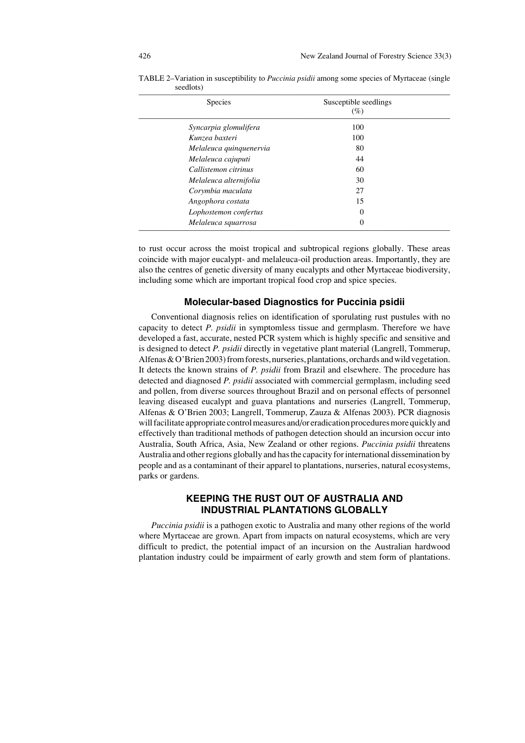| Species |                         | Susceptible seedlings<br>$(\%)$ |  |
|---------|-------------------------|---------------------------------|--|
|         | Syncarpia glomulifera   | 100                             |  |
|         | Kunzea baxteri          | 100                             |  |
|         | Melaleuca quinquenervia | 80                              |  |
|         | Melaleuca cajuputi      | 44                              |  |
|         | Callistemon citrinus    | 60                              |  |
|         | Melaleuca alternifolia  | 30                              |  |
|         | Corymbia maculata       | 27                              |  |
|         | Angophora costata       | 15                              |  |
|         | Lophostemon confertus   | 0                               |  |
|         | Melaleuca squarrosa     | 0                               |  |

TABLE 2–Variation in susceptibility to *Puccinia psidii* among some species of Myrtaceae (single seedlots)

to rust occur across the moist tropical and subtropical regions globally. These areas coincide with major eucalypt- and melaleuca-oil production areas. Importantly, they are also the centres of genetic diversity of many eucalypts and other Myrtaceae biodiversity, including some which are important tropical food crop and spice species.

#### **Molecular-based Diagnostics for** *Puccinia psidii*

Conventional diagnosis relies on identification of sporulating rust pustules with no capacity to detect *P. psidii* in symptomless tissue and germplasm. Therefore we have developed a fast, accurate, nested PCR system which is highly specific and sensitive and is designed to detect *P. psidii* directly in vegetative plant material (Langrell, Tommerup, Alfenas & O'Brien 2003) from forests, nurseries, plantations, orchards and wild vegetation. It detects the known strains of *P. psidii* from Brazil and elsewhere. The procedure has detected and diagnosed *P. psidii* associated with commercial germplasm, including seed and pollen, from diverse sources throughout Brazil and on personal effects of personnel leaving diseased eucalypt and guava plantations and nurseries (Langrell, Tommerup, Alfenas & O'Brien 2003; Langrell, Tommerup, Zauza & Alfenas 2003). PCR diagnosis will facilitate appropriate control measures and/or eradication procedures more quickly and effectively than traditional methods of pathogen detection should an incursion occur into Australia, South Africa, Asia, New Zealand or other regions. *Puccinia psidii* threatens Australia and other regions globally and has the capacity for international dissemination by people and as a contaminant of their apparel to plantations, nurseries, natural ecosystems, parks or gardens.

## **KEEPING THE RUST OUT OF AUSTRALIA AND INDUSTRIAL PLANTATIONS GLOBALLY**

*Puccinia psidii* is a pathogen exotic to Australia and many other regions of the world where Myrtaceae are grown. Apart from impacts on natural ecosystems, which are very difficult to predict, the potential impact of an incursion on the Australian hardwood plantation industry could be impairment of early growth and stem form of plantations.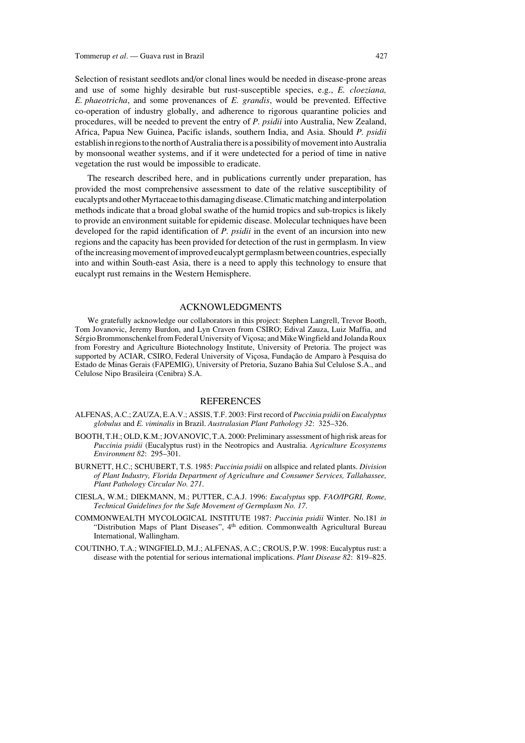Selection of resistant seedlots and/or clonal lines would be needed in disease-prone areas and use of some highly desirable but rust-susceptible species, e.g., *E. cloeziana, E. phaeotricha*, and some provenances of *E. grandis*, would be prevented. Effective co-operation of industry globally, and adherence to rigorous quarantine policies and procedures, will be needed to prevent the entry of *P. psidii* into Australia, New Zealand, Africa, Papua New Guinea, Pacific islands, southern India, and Asia. Should *P. psidii* establish in regions to the north of Australia there is a possibility of movement into Australia by monsoonal weather systems, and if it were undetected for a period of time in native vegetation the rust would be impossible to eradicate.

The research described here, and in publications currently under preparation, has provided the most comprehensive assessment to date of the relative susceptibility of eucalypts and other Myrtaceae to this damaging disease. Climatic matching and interpolation methods indicate that a broad global swathe of the humid tropics and sub-tropics is likely to provide an environment suitable for epidemic disease. Molecular techniques have been developed for the rapid identification of *P. psidii* in the event of an incursion into new regions and the capacity has been provided for detection of the rust in germplasm. In view of the increasing movement of improved eucalypt germplasm between countries, especially into and within South-east Asia, there is a need to apply this technology to ensure that eucalypt rust remains in the Western Hemisphere.

#### ACKNOWLEDGMENTS

We gratefully acknowledge our collaborators in this project: Stephen Langrell, Trevor Booth, Tom Jovanovic, Jeremy Burdon, and Lyn Craven from CSIRO; Edival Zauza, Luiz Maffia, and Sérgio Brommonschenkel from Federal University of Viçosa; and Mike Wingfield and Jolanda Roux from Forestry and Agriculture Biotechnology Institute, University of Pretoria. The project was supported by ACIAR, CSIRO, Federal University of Viçosa, Fundação de Amparo à Pesquisa do Estado de Minas Gerais (FAPEMIG), University of Pretoria, Suzano Bahia Sul Celulose S.A., and Celulose Nipo Brasileira (Cenibra) S.A.

#### **REFERENCES**

- ALFENAS, A.C.; ZAUZA, E.A.V.; ASSIS, T.F. 2003: First record of *Puccinia psidii* on *Eucalyptus globulus* and *E. viminalis* in Brazil. *Australasian Plant Pathology 32*: 325–326.
- BOOTH, T.H.; OLD, K.M.; JOVANOVIC, T.A. 2000: Preliminary assessment of high risk areas for *Puccinia psidii* (Eucalyptus rust) in the Neotropics and Australia. *Agriculture Ecosystems Environment 82*: 295–301.
- BURNETT, H.C.; SCHUBERT, T.S. 1985: *Puccinia psidii* on allspice and related plants. *Division of Plant Industry, Florida Department of Agriculture and Consumer Services, Tallahassee, Plant Pathology Circular No. 271*.
- CIESLA, W.M.; DIEKMANN, M.; PUTTER, C.A.J. 1996: *Eucalyptus* spp. *FAO/IPGRI, Rome, Technical Guidelines for the Safe Movement of Germplasm No. 17*.
- COMMONWEALTH MYCOLOGICAL INSTITUTE 1987: *Puccinia psidii* Winter. No.181 *in* "Distribution Maps of Plant Diseases", 4th edition. Commonwealth Agricultural Bureau International, Wallingham.
- COUTINHO, T.A.; WINGFIELD, M.J.; ALFENAS, A.C.; CROUS, P.W. 1998: Eucalyptus rust: a disease with the potential for serious international implications. *Plant Disease 82*: 819–825.